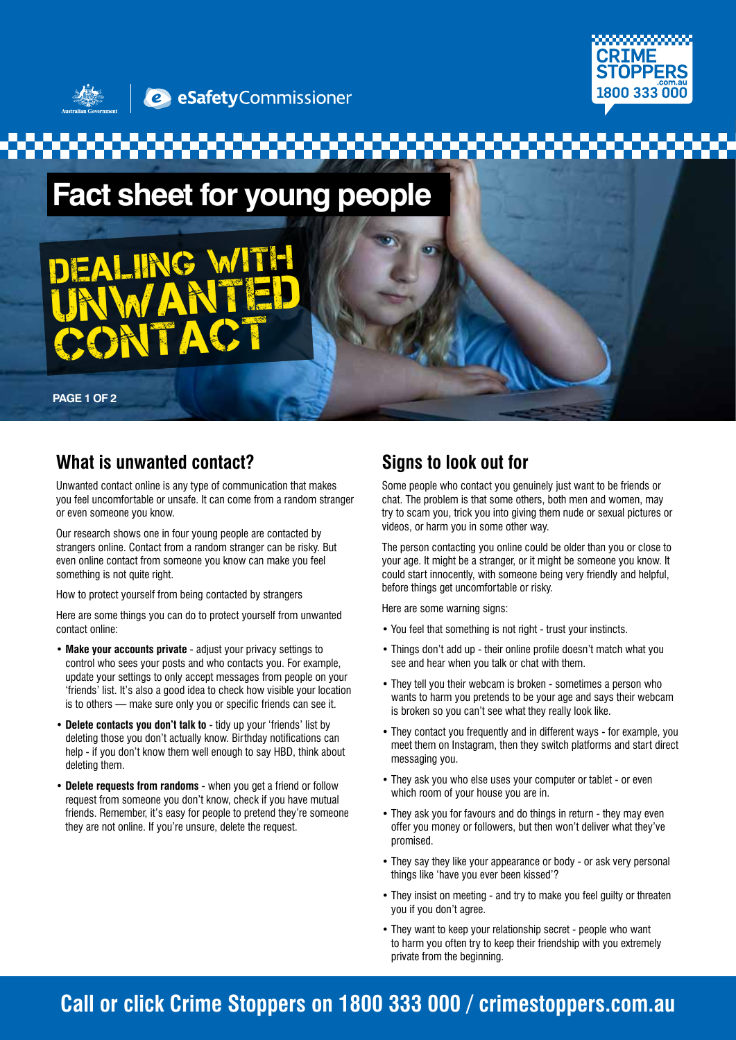



**Fact sheet for young people** 



**PAGE 1 OF 2**

### **What is unwanted contact?**

Unwanted contact online is any type of communication that makes you feel uncomfortable or unsafe. It can come from a random stranger or even someone you know.

Our research shows one in four young people are contacted by strangers online. Contact from a random stranger can be risky. But even online contact from someone you know can make you feel something is not quite right.

How to protect yourself from being contacted by strangers

Here are some things you can do to protect yourself from unwanted contact online:

- **Make your accounts private** adjust your privacy settings to control who sees your posts and who contacts you. For example, update your settings to only accept messages from people on your 'friends' list. It's also a good idea to check how visible your location is to others — make sure only you or specific friends can see it.
- **Delete contacts you don't talk to** tidy up your 'friends' list by deleting those you don't actually know. Birthday notifications can help - if you don't know them well enough to say HBD, think about deleting them.
- **Delete requests from randoms** when you get a friend or follow request from someone you don't know, check if you have mutual friends. Remember, it's easy for people to pretend they're someone they are not online. If you're unsure, delete the request.

### **Signs to look out for**

Some people who contact you genuinely just want to be friends or chat. The problem is that some others, both men and women, may try to scam you, trick you into giving them nude or sexual pictures or videos, or harm you in some other way.

The person contacting you online could be older than you or close to your age. It might be a stranger, or it might be someone you know. It could start innocently, with someone being very friendly and helpful, before things get uncomfortable or risky.

Here are some warning signs:

- You feel that something is not right trust your instincts.
- Things don't add up their online profile doesn't match what you see and hear when you talk or chat with them.
- They tell you their webcam is broken sometimes a person who wants to harm you pretends to be your age and says their webcam is broken so you can't see what they really look like.
- They contact you frequently and in different ways for example, you meet them on Instagram, then they switch platforms and start direct messaging you.
- They ask you who else uses your computer or tablet or even which room of your house you are in.
- They ask you for favours and do things in return they may even offer you money or followers, but then won't deliver what they've promised.
- They say they like your appearance or body or ask very personal things like 'have you ever been kissed'?
- They insist on meeting and try to make you feel guilty or threaten you if you don't agree.
- They want to keep your relationship secret people who want to harm you often try to keep their friendship with you extremely private from the beginning.

## **Call or click Crime Stoppers on 1800 333 000 / crimestoppers.com.au**